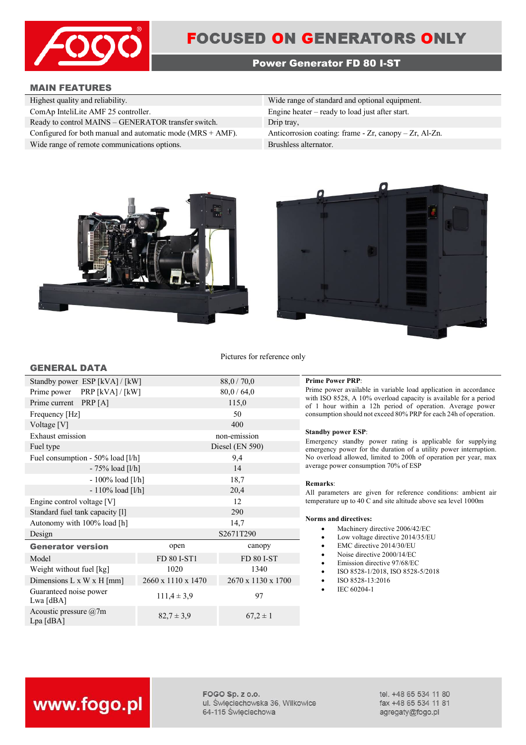

# **FOCUSED ON GENERATORS ONLY**

# **Power Generator FD 80 I-ST**

#### **MAIN FEATURES**

**GENERAL DATA**

| Wide range of standard and optional equipment.               |
|--------------------------------------------------------------|
| Engine heater $-$ ready to load just after start.            |
| Drip tray,                                                   |
| Anticorrosion coating: frame - $Zr$ , canopy - $Zr$ , Al-Zn. |
| Brushless alternator.                                        |
|                                                              |





Pictures for reference only

| Standby power ESP [kVA] / [kW]           |                    | 88,0 / 70,0        |
|------------------------------------------|--------------------|--------------------|
| Prime power PRP [kVA] / [kW]             |                    | 80,0/64,0          |
| Prime current PRP [A]                    |                    | 115,0              |
| Frequency [Hz]                           |                    | 50                 |
| Voltage [V]                              |                    | 400                |
| Exhaust emission                         |                    | non-emission       |
| Fuel type                                |                    | Diesel (EN 590)    |
| Fuel consumption - $50\%$ load [ $1/h$ ] |                    | 9,4                |
| $-75%$ load [l/h]                        |                    | 14                 |
| $-100\%$ load [l/h]                      |                    | 18,7               |
| $-110\%$ load [l/h]                      |                    | 20,4               |
| Engine control voltage [V]               |                    | 12                 |
| Standard fuel tank capacity [1]          |                    | 290                |
| Autonomy with 100% load [h]<br>14,7      |                    |                    |
| Design                                   |                    | S2671T290          |
| <b>Generator version</b>                 | open               | canopy             |
| Model                                    | FD 80 I-ST1        | <b>FD 80 I-ST</b>  |
| Weight without fuel [kg]                 | 1020               | 1340               |
| Dimensions L x W x H [mm]                | 2660 x 1110 x 1470 | 2670 x 1130 x 1700 |
| Guaranteed noise power<br>Lwa [dBA]      | $111,4 \pm 3,9$    | 97                 |

Accousite pressure (iii)  $82.7 \pm 3.9$  67,2 ± 1<br>Lpa [dBA]

#### **Prime Power PRP:**

Prime power available in variable load application in accordance with ISO 8528, A 10% overload capacity is available for a period of 1 hour within a 12h period of operation. Average power consumption should not exceed 80% PRP for each 24h of operation.

#### **Standby power ESP**:

Emergency standby power rating is applicable for supplying emergency power for the duration of a utility power interruption. No overload allowed, limited to 200h of operation per year, max average power consumption 70% of ESP

#### **Remarks**:

All parameters are given for reference conditions: ambient air temperature up to 40 C and site altitude above sea level 1000m

#### **Norms and directives:**

- Machinery directive 2006/42/EC
- Low voltage directive 2014/35/EU
- EMC directive 2014/30/EU
- Noise directive 2000/14/EC
- Emission directive 97/68/EC
- ISO 8528-1/2018, ISO 8528-5/2018
- ISO 8528-13:2016
- IEC 60204-1

# www.fogo.pl

Acoustic pressure @7m

FOGO Sp. z o.o. ul. Świeciechowska 36, Wilkowice 64-115 Święciechowa

tel. +48 65 534 11 80 fax +48 65 534 11 81 agregaty@fogo.pl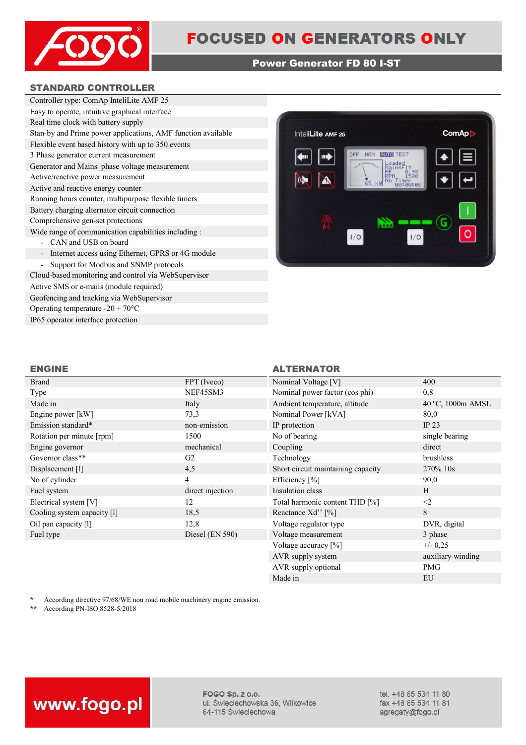

## **Power Generator FD 80 I-ST**

## **STANDARD CONTROLLER**

| Controller type: ComAp InteliLite AMF 25                                      |  |  |
|-------------------------------------------------------------------------------|--|--|
| Easy to operate, intuitive graphical interface                                |  |  |
| Real time clock with battery supply                                           |  |  |
| Stan-by and Prime power applications, AMF function available                  |  |  |
| Flexible event based history with up to 350 events                            |  |  |
| 3 Phase generator current measurement                                         |  |  |
| Generator and Mains phase voltage measurement                                 |  |  |
| Active/reactive power measurement                                             |  |  |
| Active and reactive energy counter                                            |  |  |
| Running hours counter, multipurpose flexible timers                           |  |  |
| Battery charging alternator circuit connection                                |  |  |
| Comprehensive gen-set protections                                             |  |  |
| Wide range of communication capabilities including :                          |  |  |
| CAN and USB on board                                                          |  |  |
| Internet access using Ethernet, GPRS or 4G module<br>$\overline{\phantom{a}}$ |  |  |
| Support for Modbus and SNMP protocols                                         |  |  |
| Cloud-based monitoring and control via WebSupervisor                          |  |  |

Active SMS or e-mails (module required) Geofencing and tracking via WebSupervisor Operating temperature -20 + 70°C IP65 operator interface protection



# **ENGINE ALTERNATOR**

| <b>Brand</b>                | FPT (Iveco)      | Nominal Voltage [V]                | 400               |
|-----------------------------|------------------|------------------------------------|-------------------|
| Type                        | NEF45SM3         | Nominal power factor (cos phi)     | 0,8               |
| Made in                     | Italy            | Ambient temperature, altitude      | 40 °C, 1000m AMSL |
| Engine power [kW]           | 73,3             | Nominal Power [kVA]                | 80,0              |
| Emission standard*          | non-emission     | IP protection                      | IP $23$           |
| Rotation per minute [rpm]   | 1500             | No of bearing                      | single bearing    |
| Engine governor             | mechanical       | Coupling                           | direct            |
| Governor class**            | G <sub>2</sub>   | Technology                         | brushless         |
| Displacement [1]            | 4,5              | Short circuit maintaining capacity | 270% 10s          |
| No of cylinder              | 4                | Efficiency [%]                     | 90,0              |
| Fuel system                 | direct injection | Insulation class                   | H                 |
| Electrical system [V]       | 12               | Total harmonic content THD [%]     | $\leq$ 2          |
| Cooling system capacity [1] | 18,5             | Reactance Xd'' [%]                 | 8                 |
| Oil pan capacity [1]        | 12,8             | Voltage regulator type             | DVR, digital      |
| Fuel type                   | Diesel (EN 590)  | Voltage measurement                | 3 phase           |
|                             |                  | Voltage accuracy [%]               | $+/- 0,25$        |
|                             |                  | AVR supply system                  | auxiliary winding |

\* According directive 97/68/WE non road mobile machinery engine emission.<br>\*\* According PN-ISO 8528-5/2018

**\*\*** According PN-ISO 8528-5/2018



FOGO Sp. z o.o. ul. Święciechowska 36, Wilkowice 64-115 Święciechowa

tel. +48 65 534 11 80 fax +48 65 534 11 81 agregaty@fogo.pl

AVR supply optional PMG Made in EU